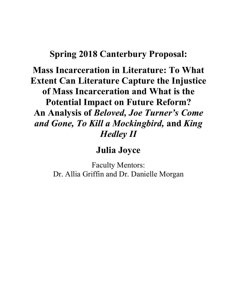# **Spring 2018 Canterbury Proposal:**

**Mass Incarceration in Literature: To What Extent Can Literature Capture the Injustice of Mass Incarceration and What is the Potential Impact on Future Reform? An Analysis of** *Beloved, Joe Turner's Come and Gone, To Kill a Mockingbird,* **and** *King Hedley II*

**Julia Joyce**

Faculty Mentors: Dr. Allia Griffin and Dr. Danielle Morgan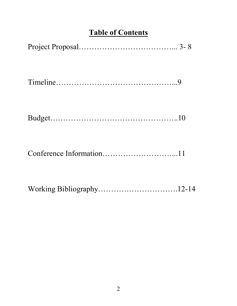# **Table of Contents**

| Working Bibliography12-14 |  |
|---------------------------|--|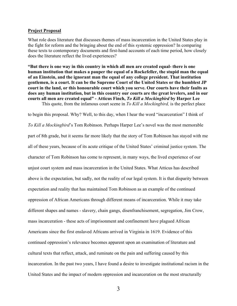#### **Project Proposal**

What role does literature that discusses themes of mass incarceration in the United States play in the fight for reform and the bringing about the end of this systemic oppression? In comparing these texts to contemporary documents and first-hand accounts of each time period, how closely does the literature reflect the lived experiences?

**"But there is one way in this country in which all men are created equal- there is one human institution that makes a pauper the equal of a Rockefeller, the stupid man the equal of an Einstein, and the ignorant man the equal of any college president. That institution gentlemen, is a court. It can be the Supreme Court of the United States or the humblest JP court in the land, or this honourable court which you serve. Our courts have their faults as does any human institution, but in this country our courts are the great levelers, and in our courts all men are created equal" - Atticus Finch,** *To Kill a Mockingbird* **by Harper Lee** This quote, from the infamous court scene in *To Kill a Mockingbird,* is the perfect place

to begin this proposal. Why? Well, to this day, when I hear the word "incarceration" I think of *To Kill a Mockingbird*'s Tom Robinson. Perhaps Harper Lee's novel was the most memorable part of 8th grade, but it seems far more likely that the story of Tom Robinson has stayed with me all of these years, because of its acute critique of the United States' criminal justice system. The character of Tom Robinson has come to represent, in many ways, the lived experience of our unjust court system and mass incarceration in the United States. What Atticus has described above is the expectation, but sadly, not the reality of our legal system. It is that disparity between expectation and reality that has maintained Tom Robinson as an example of the continued oppression of African Americans through different means of incarceration. While it may take different shapes and names - slavery, chain gangs, disenfranchisement, segregation, Jim Crow, mass incarceration - these acts of imprisonment and confinement have plagued African Americans since the first enslaved Africans arrived in Virginia in 1619. Evidence of this continued oppression's relevance becomes apparent upon an examination of literature and cultural texts that reflect, attack, and ruminate on the pain and suffering caused by this incarceration. In the past two years, I have found a desire to investigate institutional racism in the United States and the impact of modern oppression and incarceration on the most structurally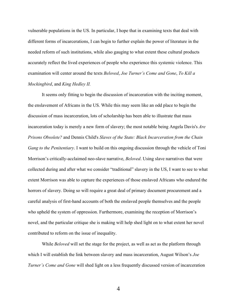vulnerable populations in the US. In particular, I hope that in examining texts that deal with different forms of incarcerations, I can begin to further explain the power of literature in the needed reform of such institutions, while also gauging to what extent these cultural products accurately reflect the lived experiences of people who experience this systemic violence. This examination will center around the texts *Beloved*, *Joe Turner's Come and Gone*, *To Kill a Mockingbird*, and *King Hedley II.* 

It seems only fitting to begin the discussion of incarceration with the inciting moment, the enslavement of Africans in the US. While this may seem like an odd place to begin the discussion of mass incarceration, lots of scholarship has been able to illustrate that mass incarceration today is merely a new form of slavery; the most notable being Angela Davis's *Are Prisons Obsolete?* and Dennis Child's *Slaves of the State: Black Incarceration from the Chain Gang to the Penitentiary*. I want to build on this ongoing discussion through the vehicle of Toni Morrison's critically-acclaimed neo-slave narrative, *Beloved*. Using slave narratives that were collected during and after what we consider "traditional" slavery in the US, I want to see to what extent Morrison was able to capture the experiences of those enslaved Africans who endured the horrors of slavery. Doing so will require a great deal of primary document procurement and a careful analysis of first-hand accounts of both the enslaved people themselves and the people who upheld the system of oppression. Furthermore, examining the reception of Morrison's novel, and the particular critique she is making will help shed light on to what extent her novel contributed to reform on the issue of inequality.

While *Beloved* will set the stage for the project, as well as act as the platform through which I will establish the link between slavery and mass incarceration, August Wilson's *Joe Turner's Come and Gone* will shed light on a less frequently discussed version of incarceration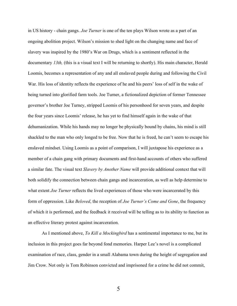in US history - chain gangs. *Joe Turner* is one of the ten plays Wilson wrote as a part of an ongoing abolition project. Wilson's mission to shed light on the changing name and face of slavery was inspired by the 1980's War on Drugs, which is a sentiment reflected in the documentary *13th*, (this is a visual text I will be returning to shortly). His main character, Herald Loomis, becomes a representation of any and all enslaved people during and following the Civil War. His loss of identity reflects the experience of he and his peers' loss of self in the wake of being turned into glorified farm tools. Joe Turner, a fictionalized depiction of former Tennessee governor's brother Joe Turney, stripped Loomis of his personhood for seven years, and despite the four years since Loomis' release, he has yet to find himself again in the wake of that dehumanization. While his hands may no longer be physically bound by chains, his mind is still shackled to the man who only longed to be free. Now that he is freed, he can't seem to escape his enslaved mindset. Using Loomis as a point of comparison, I will juxtapose his experience as a member of a chain gang with primary documents and first-hand accounts of others who suffered a similar fate. The visual text *Slavery by Another Name* will provide additional context that will both solidify the connection between chain gangs and incarceration, as well as help determine to what extent *Joe Turner* reflects the lived experiences of those who were incarcerated by this form of oppression. Like *Beloved*, the reception of *Joe Turner's Come and Gone*, the frequency of which it is performed, and the feedback it received will be telling as to its ability to function as an effective literary protest against incarceration.

As I mentioned above, *To Kill a Mockingbird* has a sentimental importance to me, but its inclusion in this project goes far beyond fond memories. Harper Lee's novel is a complicated examination of race, class, gender in a small Alabama town during the height of segregation and Jim Crow. Not only is Tom Robinson convicted and imprisoned for a crime he did not commit,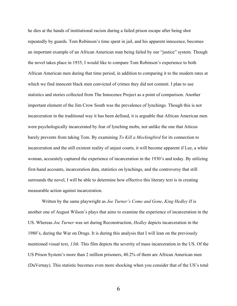he dies at the hands of institutional racism during a failed prison escape after being shot repeatedly by guards. Tom Robinson's time spent in jail, and his apparent innocence, becomes an important example of an African American man being failed by our "justice" system. Though the novel takes place in 1935, I would like to compare Tom Robinson's experience to both African American men during that time period, in addition to comparing it to the modern rates at which we find innocent black men convicted of crimes they did not commit. I plan to use statistics and stories collected from The Innocence Project as a point of comparison. Another important element of the Jim Crow South was the prevalence of lynchings. Though this is not incarceration in the traditional way it has been defined, it is arguable that African American men were psychologically incarcerated by fear of lynching mobs, not unlike the one that Atticus barely prevents from taking Tom. By examining *To Kill a Mockingbird* for its connection to incarceration and the still existent reality of unjust courts, it will become apparent if Lee, a white woman, accurately captured the experience of incarceration in the 1930's and today. By utilizing first-hand accounts, incarceration data, statistics on lynchings, and the controversy that still surrounds the novel, I will be able to determine how effective this literary text is in creating measurable action against incarceration.

Written by the same playwright as *Joe Turner's Come and Gone*, *King Hedley II* is another one of August Wilson's plays that aims to examine the experience of incarceration in the US. Whereas *Joe Turner* was set during Reconstruction, *Hedley* depicts incarceration in the 1980's, during the War on Drugs. It is during this analysis that I will lean on the previously mentioned visual text, *13th.* This film depicts the severity of mass incarceration in the US. Of the US Prison System's more than 2 million prisoners, 40.2% of them are African American men (DuVernay). This statistic becomes even more shocking when you consider that of the US's total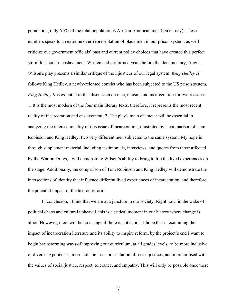population, only 6.5% of the total population is African American men (DuVernay). These numbers speak to an extreme over-representation of black men in our prison system, as well criticize our government officials' past and current policy choices that have created this perfect storm for modern enslavement. Written and performed years before the documentary, August Wilson's play presents a similar critique of the injustices of our legal system. *King Hedley II* follows King Hedley, a newly-released convict who has been subjected to the US prison system. *King Hedley II* is essential to this discussion on race, racism, and incarceration for two reasons: 1. It is the most modern of the four main literary texts, therefore, it represents the most recent reality of incarceration and enslavement; 2. The play's main character will be essential in analyzing the intersectionality of this issue of incarceration, illustrated by a comparison of Tom Robinson and King Hedley, two very different men subjected to the same system. My hope is through supplement material, including testimonials, interviews, and quotes from those affected by the War on Drugs, I will demonstrate Wilson's ability to bring to life the lived experiences on the stage. Additionally, the comparison of Tom Robinson and King Hedley will demonstrate the intersections of identity that influence different lived experiences of incarceration, and therefore, the potential impact of the text on reform.

In conclusion, I think that we are at a juncture in our society. Right now, in the wake of political chaos and cultural upheaval, this is a critical moment in our history where change is afoot. However, there will be no change if there is not action. I hope that in examining the impact of incarceration literature and its ability to inspire reform, by the project's end I want to begin brainstorming ways of improving our curriculum, at all grades levels, to be more inclusive of diverse experiences, more holistic in its presentation of past injustices, and more infused with the values of social justice, respect, tolerance, and empathy. This will only be possible once there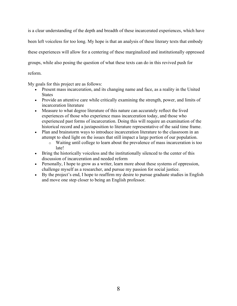is a clear understanding of the depth and breadth of these incarcerated experiences, which have been left voiceless for too long. My hope is that an analysis of these literary texts that embody these experiences will allow for a centering of these marginalized and institutionally oppressed groups, while also posing the question of what these texts can do in this revived push for reform.

My goals for this project are as follows:

- Present mass incarceration, and its changing name and face, as a reality in the United **States**
- Provide an attentive care while critically examining the strength, power, and limits of incarceration literature
- Measure to what degree literature of this nature can accurately reflect the lived experiences of those who experience mass incarceration today, and those who experienced past forms of incarceration. Doing this will require an examination of the historical record and a juxtaposition to literature representative of the said time frame.
- Plan and brainstorm ways to introduce incarceration literature to the classroom in an attempt to shed light on the issues that still impact a large portion of our population.
	- o Waiting until college to learn about the prevalence of mass incarceration is too late!
- Bring the historically voiceless and the institutionally silenced to the center of this discussion of incarceration and needed reform
- Personally, I hope to grow as a writer, learn more about these systems of oppression, challenge myself as a researcher, and pursue my passion for social justice.
- By the project's end, I hope to reaffirm my desire to pursue graduate studies in English and move one step closer to being an English professor.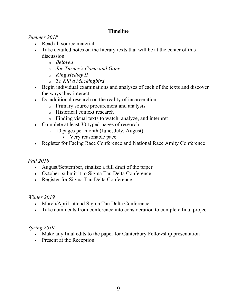# **Timeline**

*Summer 2018*

- Read all source material
- Take detailed notes on the literary texts that will be at the center of this discussion
	- o *Beloved*
	- o *Joe Turner's Come and Gone*
	- o *King Hedley II*
	- o *To Kill a Mockingbird*
- Begin individual examinations and analyses of each of the texts and discover the ways they interact
- Do additional research on the reality of incarceration
	- o Primary source procurement and analysis
	- o Historical context research
	- o Finding visual texts to watch, analyze, and interpret
- Complete at least 30 typed-pages of research
	- o 10 pages per month (June, July, August)
		- § Very reasonable pace
- Register for Facing Race Conference and National Race Amity Conference

## *Fall 2018*

- August/September, finalize a full draft of the paper
- October, submit it to Sigma Tau Delta Conference
- Register for Sigma Tau Delta Conference

## *Winter 2019*

- March/April, attend Sigma Tau Delta Conference
- Take comments from conference into consideration to complete final project

## *Spring 2019*

- Make any final edits to the paper for Canterbury Fellowship presentation
- Present at the Reception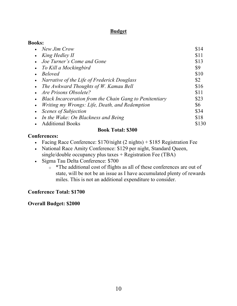## **Budget**

| <b>Books:</b>                                                        |       |
|----------------------------------------------------------------------|-------|
| • New Jim Crow                                                       | \$14  |
| King Hedley II<br>$\bullet$                                          | \$11  |
| Joe Turner's Come and Gone<br>$\bullet$                              | \$13  |
| To Kill a Mockingbird<br>$\bullet$                                   | \$9   |
| <b>Beloved</b><br>$\bullet$                                          | \$10  |
| Narrative of the Life of Frederick Douglass<br>$\bullet$             | \$2   |
| The Awkward Thoughts of W. Kamau Bell<br>$\bullet$                   | \$16  |
| Are Prisons Obsolete?<br>$\bullet$                                   | \$11  |
| Black Incarceration from the Chain Gang to Penitentiary<br>$\bullet$ | \$23  |
| Writing my Wrongs: Life, Death, and Redemption<br>$\bullet$          | \$6   |
| Scenes of Subjection<br>$\bullet$                                    | \$34  |
| In the Wake: On Blackness and Being<br>$\bullet$                     | \$18  |
| <b>Additional Books</b>                                              | \$130 |
| <b>Book Total: \$300</b>                                             |       |

### **Conferences:**

- Facing Race Conference: \$170/night (2 nights) + \$185 Registration Fee
- National Race Amity Conference: \$129 per night, Standard Queen, single/double occupancy plus taxes + Registration Fee (TBA)
- Sigma Tau Delta Conference: \$700
	- o \*The additional cost of flights as all of these conferences are out of state, will be not be an issue as I have accumulated plenty of rewards miles. This is not an additional expenditure to consider.

## **Conference Total: \$1700**

**Overall Budget: \$2000**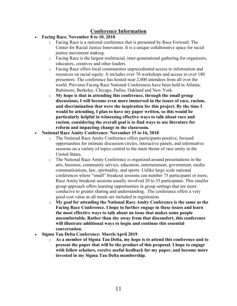## **Conference Information**

- **Facing Race, November 8 to 10, 2018**
	- o Facing Race is a national conference that is presented by Race Forward: The Center for Racial Justice Innovation. It is a unique collaborative space for racial justice movement making.
	- o Facing Race is the largest multiracial, inter-generational gathering for organizers, educators, creatives and other leaders.
	- o Facing Race offers local communities unprecedented access to information and resources on racial equity. It includes over 70 workshops and access to over 180 presenters. The conference has hosted near 2,000 attendees from all over the world. Previous Facing Race National Conferences have been held in Atlanta, Baltimore, Berkeley, Chicago, Dallas, Oakland and New York.
	- o **My hope is that in attending this conference, through the small group discussions, I will become even more immersed in the issues of race, racism, and discrimination that were the inspiration for this project. By the time I would be attending, I plan to have my paper written, so this would be particularly helpful in witnessing effective ways to talk about race and racism, considering the overall goal is to find ways to use literature for reform and impacting change in the classroom.**
- **National Race Amity Conference: November 15 to 16, 2018**
	- o The National Race Amity Conference offers participants positive, focused opportunities for intimate discussion circles, interactive panels, and informative sessions on a variety of topics central to the main theme of race amity in the United States.
	- o The National Race Amity Conference is organized around presentations in the arts, business, community service, education, entertainment, government, media communications, law, spirituality, and sports. Unlike large scale national conferences where "small" breakout sessions can number 75 participants or more, Race Amity breakout sessions usually involved 20 to 35 participants. This smaller group approach offers learning opportunities in group settings that are more conducive to greater sharing and understanding. The conference offers a very good cost value as all meals are included in registration.
	- o **My goal for attending the National Race Amity Conference is the same as the Facing Race Conference. I hope to further engage in these issues and learn the most effective ways to talk about an issue that makes some people uncomfortable. Rather than shy away from that discomfort, this conference will illustrate additional ways to begin and continue this essential conversation.**
- **Sigma Tau Delta Conference: March/April 2019**
	- o **As a member of Sigma Tau Delta, my hope is to attend this conference and to present the paper that will be the product of this proposal. I hope to engage with fellow scholars, receive useful feedback for my paper, and become more invested in my Sigma Tau Delta membership.**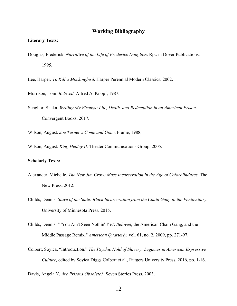#### **Working Bibliography**

#### **Literary Texts:**

Douglas, Frederick. *Narrative of the Life of Frederick Douglass*. Rpt. in Dover Publications. 1995.

Lee, Harper. *To Kill a Mockingbird*. Harper Perennial Modern Classics. 2002.

Morrison, Toni. *Beloved*. Alfred A. Knopf, 1987.

Senghor, Shaka. *Writing My Wrongs: Life, Death, and Redemption in an American Prison*. Convergent Books. 2017.

Wilson, August. *Joe Turner's Come and Gone*. Plume, 1988.

Wilson, August. *King Hedley II.* Theater Communications Group. 2005.

#### **Scholarly Texts:**

- Alexander, Michelle. *The New Jim Crow: Mass Incarceration in the Age of Colorblindness*. The New Press, 2012.
- Childs, Dennis. *Slave of the State: Black Incarceration from the Chain Gang to the Penitentiary*. University of Minnesota Press. 2015.
- Childs, Dennis. " 'You Ain't Seen Nothin' Yet': *Beloved*, the American Chain Gang, and the Middle Passage Remix." *American Quarterly,* vol. 61, no. 2, 2009, pp. 271-97.
- Colbert, Soyica. "Introduction." *The Psychic Hold of Slavery: Legacies in American Expressive Culture,* edited by Soyica Diggs Colbert et al., Rutgers University Press, 2016, pp. 1-16.

Davis, Angela Y. *Are Prisons Obsolete?*. Seven Stories Press. 2003.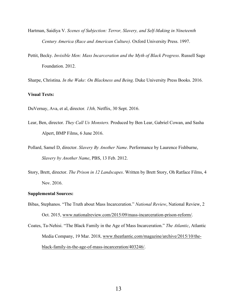- Hartman, Saidiya V. *Scenes of Subjection: Terror, Slavery, and Self-Making in Nineteenth Century America (Race and American Culture)*. Oxford University Press. 1997.
- Pettit, Becky. *Invisible Men: Mass Incarceration and the Myth of Black Progress*. Russell Sage Foundation. 2012.
- Sharpe, Christina. *In the Wake: On Blackness and Being*. Duke University Press Books. 2016.

#### **Visual Texts:**

DuVernay, Ava, et al, director*. 13th,* Netflix, 30 Sept. 2016.

- Lear, Ben, director. *They Call Us Monsters.* Produced by Ben Lear, Gabriel Cowan, and Sasha Alpert, BMP Films, 6 June 2016.
- Pollard, Samel D, director. *Slavery By Another Name*. Performance by Laurence Fishburne, *Slavery by Another Name*, PBS, 13 Feb. 2012.
- Story, Brett, director. *The Prison in 12 Landscapes*. Written by Brett Story, Oh Ratface Films, 4 Nov. 2016.

#### **Supplemental Sources:**

- Bibas, Stephanos. "The Truth about Mass Incarceration." *National Review*, National Review, 2 Oct. 2015, www.nationalreview.com/2015/09/mass-incarceration-prison-reform/.
- Coates, Ta-Nehisi. "The Black Family in the Age of Mass Incarceration." *The Atlantic*, Atlantic Media Company, 19 Mar. 2018, www.theatlantic.com/magazine/archive/2015/10/theblack-family-in-the-age-of-mass-incarceration/403246/.